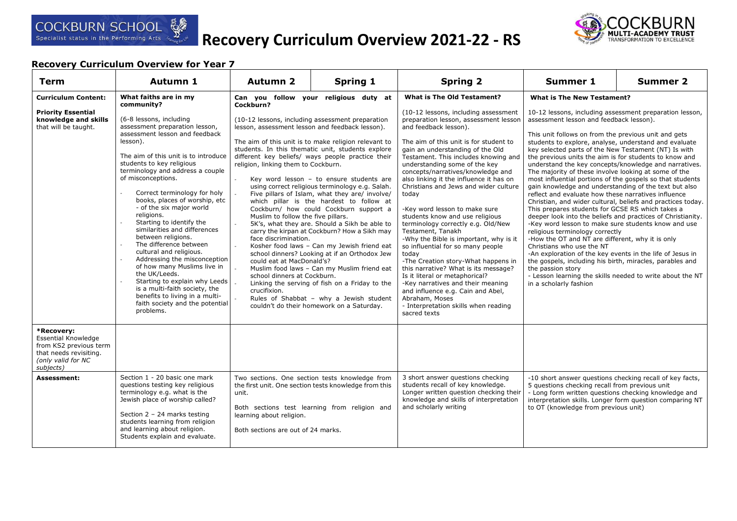



| <b>Term</b>                                                                                                                                           | <b>Autumn 1</b>                                                                                                                                                                                                                                                                                                                                                                                                                                                                                                                                                                                                                                                                                                                     | <b>Autumn 2</b>                                                                                                                                                                                                                                                                                                                                                                                                                                                                                                                                                                                                                                                                                                                                                                                                                                                                                                                                                                                                                                       | <b>Spring 1</b>                                                                                                                                                                                       | <b>Spring 2</b>                                                                                                                                                                                                                                                                                                                                                                                                                                                                                                                                                                                                                                                                                                                                                                                                                                                          | <b>Summer 1</b>                                                                                                                                                                                                                                                                                                                                                                                                                                                                                                                                                                                                                                                                                                                                                                                                                                                                                                                                                                                                                                                                                                                                                                                                                                                            | <b>Summer 2</b> |
|-------------------------------------------------------------------------------------------------------------------------------------------------------|-------------------------------------------------------------------------------------------------------------------------------------------------------------------------------------------------------------------------------------------------------------------------------------------------------------------------------------------------------------------------------------------------------------------------------------------------------------------------------------------------------------------------------------------------------------------------------------------------------------------------------------------------------------------------------------------------------------------------------------|-------------------------------------------------------------------------------------------------------------------------------------------------------------------------------------------------------------------------------------------------------------------------------------------------------------------------------------------------------------------------------------------------------------------------------------------------------------------------------------------------------------------------------------------------------------------------------------------------------------------------------------------------------------------------------------------------------------------------------------------------------------------------------------------------------------------------------------------------------------------------------------------------------------------------------------------------------------------------------------------------------------------------------------------------------|-------------------------------------------------------------------------------------------------------------------------------------------------------------------------------------------------------|--------------------------------------------------------------------------------------------------------------------------------------------------------------------------------------------------------------------------------------------------------------------------------------------------------------------------------------------------------------------------------------------------------------------------------------------------------------------------------------------------------------------------------------------------------------------------------------------------------------------------------------------------------------------------------------------------------------------------------------------------------------------------------------------------------------------------------------------------------------------------|----------------------------------------------------------------------------------------------------------------------------------------------------------------------------------------------------------------------------------------------------------------------------------------------------------------------------------------------------------------------------------------------------------------------------------------------------------------------------------------------------------------------------------------------------------------------------------------------------------------------------------------------------------------------------------------------------------------------------------------------------------------------------------------------------------------------------------------------------------------------------------------------------------------------------------------------------------------------------------------------------------------------------------------------------------------------------------------------------------------------------------------------------------------------------------------------------------------------------------------------------------------------------|-----------------|
| <b>Curriculum Content:</b><br><b>Priority Essential</b><br>knowledge and skills<br>that will be taught.                                               | What faiths are in my<br>community?<br>(6-8 lessons, including<br>assessment preparation lesson,<br>assessment lesson and feedback<br>lesson).<br>The aim of this unit is to introduce<br>students to key religious<br>terminology and address a couple<br>of misconceptions.<br>Correct terminology for holy<br>books, places of worship, etc<br>- of the six major world<br>religions.<br>Starting to identify the<br>similarities and differences<br>between religions.<br>The difference between<br>cultural and religious.<br>Addressing the misconception<br>of how many Muslims live in<br>the UK/Leeds.<br>Starting to explain why Leeds<br>$\mathbf{r}$<br>is a multi-faith society, the<br>benefits to living in a multi- | Can you follow your religious duty at<br>Cockburn?<br>(10-12 lessons, including assessment preparation<br>lesson, assessment lesson and feedback lesson).<br>The aim of this unit is to make religion relevant to<br>students. In this thematic unit, students explore<br>different key beliefs/ ways people practice their<br>religion, linking them to Cockburn.<br>Key word lesson - to ensure students are<br>using correct religious terminology e.g. Salah.<br>Five pillars of Islam, what they are/ involve/<br>which pillar is the hardest to follow at<br>Cockburn/ how could Cockburn support a<br>Muslim to follow the five pillars.<br>5K's, what they are. Should a Sikh be able to<br>carry the kirpan at Cockburn? How a Sikh may<br>face discrimination.<br>Kosher food laws - Can my Jewish friend eat<br>school dinners? Looking at if an Orthodox Jew<br>could eat at MacDonald's?<br>Muslim food laws - Can my Muslim friend eat<br>school dinners at Cockburn.<br>Linking the serving of fish on a Friday to the<br>crucifixion. |                                                                                                                                                                                                       | <b>What is The Old Testament?</b><br>(10-12 lessons, including assessment<br>preparation lesson, assessment lesson<br>and feedback lesson).<br>The aim of this unit is for student to<br>gain an understanding of the Old<br>Testament. This includes knowing and<br>understanding some of the key<br>concepts/narratives/knowledge and<br>also linking it the influence it has on<br>Christians and Jews and wider culture<br>today<br>-Key word lesson to make sure<br>students know and use religious<br>terminology correctly e.g. Old/New<br>Testament, Tanakh<br>-Why the Bible is important, why is it<br>so influential for so many people<br>today<br>-The Creation story-What happens in<br>this narrative? What is its message?<br>Is it literal or metaphorical?<br>-Key narratives and their meaning<br>and influence e.g. Cain and Abel,<br>Abraham, Moses | <b>What is The New Testament?</b><br>10-12 lessons, including assessment preparation lesson,<br>assessment lesson and feedback lesson).<br>This unit follows on from the previous unit and gets<br>students to explore, analyse, understand and evaluate<br>key selected parts of the New Testament (NT) Is with<br>the previous units the aim is for students to know and<br>understand the key concepts/knowledge and narratives.<br>The majority of these involve looking at some of the<br>most influential portions of the gospels so that students<br>gain knowledge and understanding of the text but also<br>reflect and evaluate how these narratives influence<br>Christian, and wider cultural, beliefs and practices today.<br>This prepares students for GCSE RS which takes a<br>deeper look into the beliefs and practices of Christianity.<br>-Key word lesson to make sure students know and use<br>religious terminology correctly<br>-How the OT and NT are different, why it is only<br>Christians who use the NT<br>-An exploration of the key events in the life of Jesus in<br>the gospels, including his birth, miracles, parables and<br>the passion story<br>- Lesson learning the skills needed to write about the NT<br>in a scholarly fashion |                 |
| *Recovery:<br><b>Essential Knowledge</b><br>from KS2 previous term<br>that needs revisiting.<br>(only valid for NC<br>subjects)<br><b>Assessment:</b> | faith society and the potential<br>problems.<br>Section 1 - 20 basic one mark<br>questions testing key religious<br>terminology e.g. what is the<br>Jewish place of worship called?<br>Section $2 - 24$ marks testing<br>students learning from religion<br>and learning about religion.<br>Students explain and evaluate.                                                                                                                                                                                                                                                                                                                                                                                                          | unit.<br>learning about religion.<br>Both sections are out of 24 marks.                                                                                                                                                                                                                                                                                                                                                                                                                                                                                                                                                                                                                                                                                                                                                                                                                                                                                                                                                                               | couldn't do their homework on a Saturday.<br>Two sections. One section tests knowledge from<br>the first unit. One section tests knowledge from this<br>Both sections test learning from religion and | - Interpretation skills when reading<br>sacred texts<br>3 short answer questions checking<br>students recall of key knowledge.<br>Longer written question checking their<br>knowledge and skills of interpretation<br>and scholarly writing                                                                                                                                                                                                                                                                                                                                                                                                                                                                                                                                                                                                                              | -10 short answer questions checking recall of key facts,<br>5 questions checking recall from previous unit<br>- Long form written questions checking knowledge and<br>interpretation skills. Longer form question comparing NT<br>to OT (knowledge from previous unit)                                                                                                                                                                                                                                                                                                                                                                                                                                                                                                                                                                                                                                                                                                                                                                                                                                                                                                                                                                                                     |                 |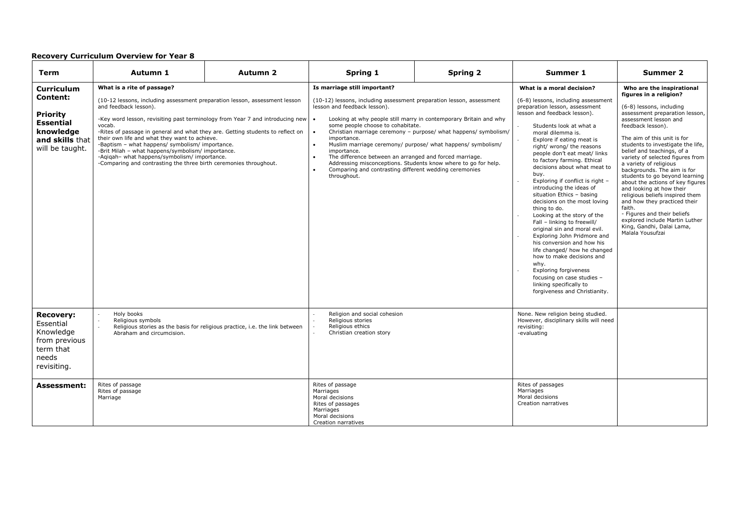| Term                                                                                                                           | Autumn 1                                                                                                                                                                                                                                                                                                                                                                                                                                                                                                                                                                                             | Autumn <sub>2</sub>                                                          | Spring 1                                                                                                                                                                                                                                                                                                                                                 | <b>Spring 2</b>                                                                                                                                                                                                                                                       | Summer 1                                                                                                                                                                                                                                                                                                                                                                                                                                                                                                                                                                                                                                                                                                                                                                                                                                            | Summer 2                                                                                                                                                                                                                                                                                                                                                                                                                                                                                                                                                                                                                                                        |
|--------------------------------------------------------------------------------------------------------------------------------|------------------------------------------------------------------------------------------------------------------------------------------------------------------------------------------------------------------------------------------------------------------------------------------------------------------------------------------------------------------------------------------------------------------------------------------------------------------------------------------------------------------------------------------------------------------------------------------------------|------------------------------------------------------------------------------|----------------------------------------------------------------------------------------------------------------------------------------------------------------------------------------------------------------------------------------------------------------------------------------------------------------------------------------------------------|-----------------------------------------------------------------------------------------------------------------------------------------------------------------------------------------------------------------------------------------------------------------------|-----------------------------------------------------------------------------------------------------------------------------------------------------------------------------------------------------------------------------------------------------------------------------------------------------------------------------------------------------------------------------------------------------------------------------------------------------------------------------------------------------------------------------------------------------------------------------------------------------------------------------------------------------------------------------------------------------------------------------------------------------------------------------------------------------------------------------------------------------|-----------------------------------------------------------------------------------------------------------------------------------------------------------------------------------------------------------------------------------------------------------------------------------------------------------------------------------------------------------------------------------------------------------------------------------------------------------------------------------------------------------------------------------------------------------------------------------------------------------------------------------------------------------------|
| <b>Curriculum</b><br><b>Content:</b><br><b>Priority</b><br><b>Essential</b><br>knowledge<br>and skills that<br>will be taught. | What is a rite of passage?<br>(10-12 lessons, including assessment preparation lesson, assessment lesson<br>and feedback lesson).<br>-Key word lesson, revisiting past terminology from Year 7 and introducing new $\cdot$<br>vocab.<br>-Rites of passage in general and what they are. Getting students to reflect on<br>their own life and what they want to achieve.<br>-Baptism - what happens/ symbolism/ importance.<br>-Brit Milah - what happens/symbolism/ importance.<br>-Aqiqah- what happens/symbolism/ importance.<br>-Comparing and contrasting the three birth ceremonies throughout. |                                                                              | Is marriage still important?<br>(10-12) lessons, including assessment preparation lesson, assessment<br>lesson and feedback lesson).<br>some people choose to cohabitate.<br>$\bullet$<br>importance.<br>importance.<br>The difference between an arranged and forced marriage.<br>Comparing and contrasting different wedding ceremonies<br>throughout. | Looking at why people still marry in contemporary Britain and why<br>Christian marriage ceremony - purpose/ what happens/ symbolism/<br>Muslim marriage ceremony/ purpose/ what happens/ symbolism/<br>Addressing misconceptions. Students know where to go for help. | What is a moral decision?<br>(6-8) lessons, including assessment<br>preparation lesson, assessment<br>lesson and feedback lesson).<br>Students look at what a<br>moral dilemma is.<br>Explore if eating meat is<br>right/ wrong/ the reasons<br>people don't eat meat/ links<br>to factory farming. Ethical<br>decisions about what meat to<br>buy.<br>Exploring if conflict is right -<br>introducing the ideas of<br>situation Ethics - basing<br>decisions on the most loving<br>thing to do.<br>Looking at the story of the<br>Fall - linking to freewill/<br>original sin and moral evil.<br>Exploring John Pridmore and<br>his conversion and how his<br>life changed/ how he changed<br>how to make decisions and<br>why.<br>Exploring forgiveness<br>focusing on case studies -<br>linking specifically to<br>forgiveness and Christianity. | Who are the inspirational<br>figures in a religion?<br>(6-8) lessons, including<br>assessment preparation lesson,<br>assessment lesson and<br>feedback lesson).<br>The aim of this unit is for<br>students to investigate the life,<br>belief and teachings, of a<br>variety of selected figures from<br>a variety of religious<br>backgrounds. The aim is for<br>students to go beyond learning<br>about the actions of key figures<br>and looking at how their<br>religious beliefs inspired them<br>and how they practiced their<br>faith.<br>- Figures and their beliefs<br>explored include Martin Luther<br>King, Gandhi, Dalai Lama,<br>Malala Yousufzai |
| <b>Recovery:</b><br>Essential<br>Knowledge<br>from previous<br>term that<br>needs<br>revisiting.                               | Holy books<br>Religious symbols<br>Abraham and circumcision.                                                                                                                                                                                                                                                                                                                                                                                                                                                                                                                                         | Religious stories as the basis for religious practice, i.e. the link between | Religion and social cohesion<br>Religious stories<br>Religious ethics<br>Christian creation story                                                                                                                                                                                                                                                        |                                                                                                                                                                                                                                                                       | None. New religion being studied.<br>However, disciplinary skills will need<br>revisiting:<br>-evaluating                                                                                                                                                                                                                                                                                                                                                                                                                                                                                                                                                                                                                                                                                                                                           |                                                                                                                                                                                                                                                                                                                                                                                                                                                                                                                                                                                                                                                                 |
| <b>Assessment:</b>                                                                                                             | Rites of passage<br>Rites of passage<br>Marriage                                                                                                                                                                                                                                                                                                                                                                                                                                                                                                                                                     |                                                                              | Rites of passage<br>Marriages<br>Moral decisions<br>Rites of passages<br>Marriages<br>Moral decisions<br>Creation narratives                                                                                                                                                                                                                             |                                                                                                                                                                                                                                                                       | Rites of passages<br>Marriages<br>Moral decisions<br>Creation narratives                                                                                                                                                                                                                                                                                                                                                                                                                                                                                                                                                                                                                                                                                                                                                                            |                                                                                                                                                                                                                                                                                                                                                                                                                                                                                                                                                                                                                                                                 |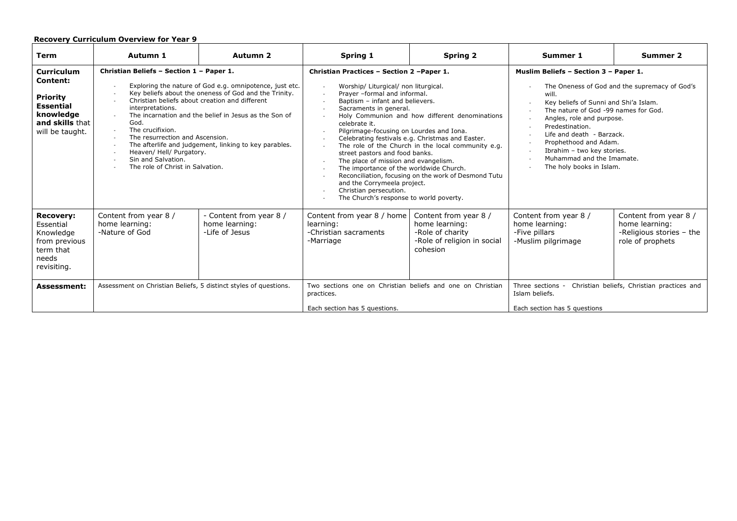| <b>Term</b>                                                                                                             | Autumn 1                                                                                                                                                                                                                                                                                                                                                                                                                                                                                                                      | <b>Autumn 2</b>                                             | Spring 1                                                                                                                                                                                                                                                                                                                                                                                                                                                                                                                                                                                                                                                                                                                                                                                                                                          | <b>Spring 2</b>                                                                                        | Summer 1                                                                                                                                                                                                                                                                                                                                                                      | Summer 2                                                                                |
|-------------------------------------------------------------------------------------------------------------------------|-------------------------------------------------------------------------------------------------------------------------------------------------------------------------------------------------------------------------------------------------------------------------------------------------------------------------------------------------------------------------------------------------------------------------------------------------------------------------------------------------------------------------------|-------------------------------------------------------------|---------------------------------------------------------------------------------------------------------------------------------------------------------------------------------------------------------------------------------------------------------------------------------------------------------------------------------------------------------------------------------------------------------------------------------------------------------------------------------------------------------------------------------------------------------------------------------------------------------------------------------------------------------------------------------------------------------------------------------------------------------------------------------------------------------------------------------------------------|--------------------------------------------------------------------------------------------------------|-------------------------------------------------------------------------------------------------------------------------------------------------------------------------------------------------------------------------------------------------------------------------------------------------------------------------------------------------------------------------------|-----------------------------------------------------------------------------------------|
| <b>Curriculum</b><br>Content:<br><b>Priority</b><br><b>Essential</b><br>knowledge<br>and skills that<br>will be taught. | Christian Beliefs - Section 1 - Paper 1.<br>Exploring the nature of God e.g. omnipotence, just etc.<br>Key beliefs about the oneness of God and the Trinity.<br>Christian beliefs about creation and different<br>interpretations.<br>The incarnation and the belief in Jesus as the Son of<br>$\sim$<br>God.<br>The crucifixion.<br>$\sim$<br>The resurrection and Ascension.<br>The afterlife and judgement, linking to key parables.<br>Heaven/ Hell/ Purgatory.<br>Sin and Salvation.<br>The role of Christ in Salvation. |                                                             | Christian Practices - Section 2 - Paper 1.<br>Worship/ Liturgical/ non liturgical.<br>$\sim$<br>Prayer -formal and informal.<br>$\sim$<br>Baptism - infant and believers.<br>$\overline{\phantom{a}}$<br>Sacraments in general.<br>$\overline{\phantom{a}}$<br>Holy Communion and how different denominations<br>celebrate it.<br>Pilgrimage-focusing on Lourdes and Iona.<br>$\overline{\phantom{a}}$<br>Celebrating festivals e.g. Christmas and Easter.<br>$\overline{\phantom{a}}$<br>The role of the Church in the local community e.g.<br>street pastors and food banks.<br>The place of mission and evangelism.<br>$\sim$<br>The importance of the worldwide Church.<br>Reconciliation, focusing on the work of Desmond Tutu<br>and the Corrymeela project.<br>Christian persecution.<br>$\sim$<br>The Church's response to world poverty. |                                                                                                        | Muslim Beliefs - Section 3 - Paper 1.<br>The Oneness of God and the supremacy of God's<br>will.<br>Key beliefs of Sunni and Shi'a Islam.<br>The nature of God -99 names for God.<br>Angles, role and purpose.<br>Predestination.<br>Life and death - Barzack.<br>Prophethood and Adam.<br>Ibrahim - two key stories.<br>Muhammad and the Imamate.<br>The holy books in Islam. |                                                                                         |
| <b>Recovery:</b><br>Essential<br>Knowledge<br>from previous<br>term that<br>needs<br>revisiting.                        | Content from year 8 /<br>home learning:<br>-Nature of God                                                                                                                                                                                                                                                                                                                                                                                                                                                                     | - Content from year 8 /<br>home learning:<br>-Life of Jesus | Content from year 8 / home<br>learning:<br>-Christian sacraments<br>-Marriage                                                                                                                                                                                                                                                                                                                                                                                                                                                                                                                                                                                                                                                                                                                                                                     | Content from year 8 /<br>home learning:<br>-Role of charity<br>-Role of religion in social<br>cohesion | Content from year 8 /<br>home learning:<br>-Five pillars<br>-Muslim pilgrimage                                                                                                                                                                                                                                                                                                | Content from year 8 /<br>home learning:<br>-Religious stories - the<br>role of prophets |
| <b>Assessment:</b>                                                                                                      | Assessment on Christian Beliefs, 5 distinct styles of questions.                                                                                                                                                                                                                                                                                                                                                                                                                                                              |                                                             | Two sections one on Christian beliefs and one on Christian<br>practices.<br>Each section has 5 questions.                                                                                                                                                                                                                                                                                                                                                                                                                                                                                                                                                                                                                                                                                                                                         |                                                                                                        | Three sections -<br>Christian beliefs, Christian practices and<br>Islam beliefs.<br>Each section has 5 questions                                                                                                                                                                                                                                                              |                                                                                         |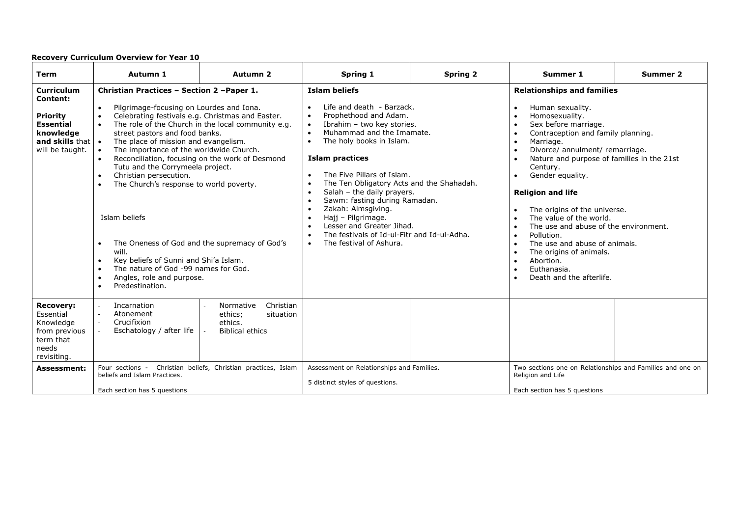| <b>Term</b>                                                                                                                                 | Autumn 1                                                                                                                                                                                                                                                                                                                                                                                                                                                                                                                                                                                             | Autumn <sub>2</sub>                                                                                                                                                                                        | Spring 1                                                                                                                                                                                                                                                                                                                                                                                                                                                                                                                                                               | <b>Spring 2</b> | Summer 1                                                                                                                                                                                                                                                                                                                                                                                                                                                                                                                                                                                                                                                                                                                                              | <b>Summer 2</b> |
|---------------------------------------------------------------------------------------------------------------------------------------------|------------------------------------------------------------------------------------------------------------------------------------------------------------------------------------------------------------------------------------------------------------------------------------------------------------------------------------------------------------------------------------------------------------------------------------------------------------------------------------------------------------------------------------------------------------------------------------------------------|------------------------------------------------------------------------------------------------------------------------------------------------------------------------------------------------------------|------------------------------------------------------------------------------------------------------------------------------------------------------------------------------------------------------------------------------------------------------------------------------------------------------------------------------------------------------------------------------------------------------------------------------------------------------------------------------------------------------------------------------------------------------------------------|-----------------|-------------------------------------------------------------------------------------------------------------------------------------------------------------------------------------------------------------------------------------------------------------------------------------------------------------------------------------------------------------------------------------------------------------------------------------------------------------------------------------------------------------------------------------------------------------------------------------------------------------------------------------------------------------------------------------------------------------------------------------------------------|-----------------|
| <b>Curriculum</b><br>Content:<br><b>Priority</b><br><b>Essential</b><br>knowledge<br>and skills that $\vert \cdot \vert$<br>will be taught. | Christian Practices - Section 2 - Paper 1.<br>Pilgrimage-focusing on Lourdes and Iona.<br>$\bullet$<br>$\bullet$<br>street pastors and food banks.<br>The place of mission and evangelism.<br>The importance of the worldwide Church.<br>$\bullet$<br>Tutu and the Corrymeela project.<br>Christian persecution.<br>$\bullet$<br>The Church's response to world poverty.<br>$\bullet$<br>Islam beliefs<br>$\bullet$<br>will.<br>Key beliefs of Sunni and Shi'a Islam.<br>$\bullet$<br>The nature of God -99 names for God.<br>$\bullet$<br>Angles, role and purpose.<br>$\bullet$<br>Predestination. | Celebrating festivals e.g. Christmas and Easter.<br>The role of the Church in the local community e.g.<br>Reconciliation, focusing on the work of Desmond<br>The Oneness of God and the supremacy of God's | <b>Islam beliefs</b><br>Life and death - Barzack.<br>Prophethood and Adam.<br>$\bullet$<br>Ibrahim - two key stories.<br>$\bullet$<br>Muhammad and the Imamate.<br>$\bullet$<br>The holy books in Islam.<br>$\bullet$<br><b>Islam practices</b><br>The Five Pillars of Islam.<br>The Ten Obligatory Acts and the Shahadah.<br>Salah - the daily prayers.<br>Sawm: fasting during Ramadan.<br>Zakah: Almsgiving.<br>$\bullet$<br>Hajj - Pilgrimage.<br>Lesser and Greater Jihad.<br>The festivals of Id-ul-Fitr and Id-ul-Adha.<br>The festival of Ashura.<br>$\bullet$ |                 | <b>Relationships and families</b><br>Human sexuality.<br>$\bullet$<br>Homosexuality.<br>$\bullet$<br>Sex before marriage.<br>$\bullet$<br>Contraception and family planning.<br>$\bullet$<br>Marriage.<br>$\bullet$<br>Divorce/ annulment/ remarriage.<br>$\bullet$<br>Nature and purpose of families in the 21st<br>$\bullet$<br>Century.<br>Gender equality.<br>$\bullet$<br><b>Religion and life</b><br>The origins of the universe.<br>The value of the world.<br>$\bullet$<br>The use and abuse of the environment.<br>$\bullet$<br>Pollution.<br>$\bullet$<br>The use and abuse of animals.<br>$\bullet$<br>The origins of animals.<br>$\bullet$<br>Abortion.<br>$\bullet$<br>Euthanasia.<br>$\bullet$<br>Death and the afterlife.<br>$\bullet$ |                 |
| <b>Recovery:</b><br>Essential<br>Knowledge<br>from previous<br>term that<br>needs<br>revisiting.                                            | Incarnation<br>$\overline{\phantom{a}}$<br>Atonement<br>$\sim$<br>Crucifixion<br>$\sim$<br>Eschatology / after life                                                                                                                                                                                                                                                                                                                                                                                                                                                                                  | Christian<br>Normative<br>ethics;<br>situation<br>ethics.<br><b>Biblical ethics</b>                                                                                                                        |                                                                                                                                                                                                                                                                                                                                                                                                                                                                                                                                                                        |                 |                                                                                                                                                                                                                                                                                                                                                                                                                                                                                                                                                                                                                                                                                                                                                       |                 |
| <b>Assessment:</b>                                                                                                                          | Four sections - Christian beliefs, Christian practices, Islam<br>beliefs and Islam Practices.<br>Each section has 5 questions                                                                                                                                                                                                                                                                                                                                                                                                                                                                        |                                                                                                                                                                                                            | Assessment on Relationships and Families.<br>5 distinct styles of questions.                                                                                                                                                                                                                                                                                                                                                                                                                                                                                           |                 | Two sections one on Relationships and Families and one on<br>Religion and Life<br>Each section has 5 questions                                                                                                                                                                                                                                                                                                                                                                                                                                                                                                                                                                                                                                        |                 |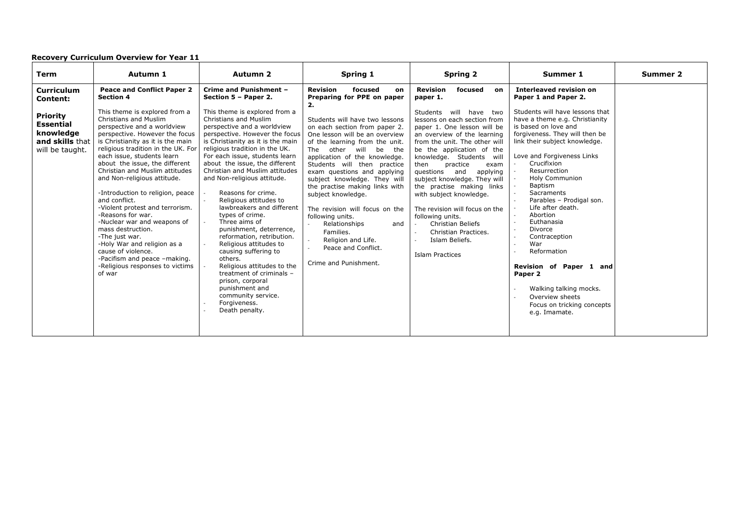| <b>Term</b>                                                                                                                    | Autumn 1                                                                                                                                                                                                                                                                                                                                                                                                                                                                                                  | <b>Autumn 2</b>                                                                                                                                                                                                                                                                                                                                                                                                                                                                       | Spring 1                                                                                                                                                                                                                                                                                                                                                                                                                                                                          | <b>Spring 2</b>                                                                                                                                                                                                                                                                                                                                                                                                                                                          | Summer 1                                                                                                                                                                                                                                                                                                                                                                                                            | Summer 2 |
|--------------------------------------------------------------------------------------------------------------------------------|-----------------------------------------------------------------------------------------------------------------------------------------------------------------------------------------------------------------------------------------------------------------------------------------------------------------------------------------------------------------------------------------------------------------------------------------------------------------------------------------------------------|---------------------------------------------------------------------------------------------------------------------------------------------------------------------------------------------------------------------------------------------------------------------------------------------------------------------------------------------------------------------------------------------------------------------------------------------------------------------------------------|-----------------------------------------------------------------------------------------------------------------------------------------------------------------------------------------------------------------------------------------------------------------------------------------------------------------------------------------------------------------------------------------------------------------------------------------------------------------------------------|--------------------------------------------------------------------------------------------------------------------------------------------------------------------------------------------------------------------------------------------------------------------------------------------------------------------------------------------------------------------------------------------------------------------------------------------------------------------------|---------------------------------------------------------------------------------------------------------------------------------------------------------------------------------------------------------------------------------------------------------------------------------------------------------------------------------------------------------------------------------------------------------------------|----------|
| <b>Curriculum</b><br><b>Content:</b><br><b>Priority</b><br><b>Essential</b><br>knowledge<br>and skills that<br>will be taught. | <b>Peace and Conflict Paper 2</b><br><b>Section 4</b><br>This theme is explored from a<br>Christians and Muslim<br>perspective and a worldview<br>perspective. However the focus<br>is Christianity as it is the main<br>religious tradition in the UK. For<br>each issue, students learn<br>about the issue, the different<br>Christian and Muslim attitudes<br>and Non-religious attitude.<br>-Introduction to religion, peace<br>and conflict.<br>-Violent protest and terrorism.<br>-Reasons for war. | Crime and Punishment -<br>Section 5 - Paper 2.<br>This theme is explored from a<br>Christians and Muslim<br>perspective and a worldview<br>perspective. However the focus<br>is Christianity as it is the main<br>religious tradition in the UK.<br>For each issue, students learn<br>about the issue, the different<br>Christian and Muslim attitudes<br>and Non-religious attitude.<br>Reasons for crime.<br>Religious attitudes to<br>lawbreakers and different<br>types of crime. | <b>Revision</b><br>focused<br>on<br>Preparing for PPE on paper<br>Students will have two lessons<br>on each section from paper 2.<br>One lesson will be an overview<br>of the learning from the unit.<br>other will<br>The<br>be the<br>application of the knowledge.<br>Students will then practice<br>exam questions and applying<br>subject knowledge. They will<br>the practise making links with<br>subject knowledge.<br>The revision will focus on the<br>following units. | <b>Revision</b><br>focused<br>on<br>paper 1.<br>Students will have two<br>lessons on each section from<br>paper 1. One lesson will be<br>an overview of the learning<br>from the unit. The other will<br>be the application of the<br>knowledge. Students<br>will<br>practice<br>then<br>exam<br>questions and<br>applying<br>subject knowledge. They will<br>the practise making links<br>with subject knowledge.<br>The revision will focus on the<br>following units. | <b>Interleaved revision on</b><br>Paper 1 and Paper 2.<br>Students will have lessons that<br>have a theme e.g. Christianity<br>is based on love and<br>forgiveness. They will then be<br>link their subject knowledge.<br>Love and Forgiveness Links<br>Crucifixion<br>Resurrection<br><b>Holy Communion</b><br>Baptism<br><b>Sacraments</b><br>Parables - Prodigal son.<br>Life after death.<br>Abortion<br>$\sim$ |          |
|                                                                                                                                | -Nuclear war and weapons of<br>mass destruction.<br>-The just war.<br>-Holy War and religion as a<br>cause of violence.<br>-Pacifism and peace -making.<br>-Religious responses to victims<br>of war                                                                                                                                                                                                                                                                                                      | Three aims of<br>punishment, deterrence,<br>reformation, retribution.<br>Religious attitudes to<br>causing suffering to<br>others.<br>Religious attitudes to the<br>treatment of criminals -<br>prison, corporal<br>punishment and<br>community service.<br>Forgiveness.<br>Death penalty.                                                                                                                                                                                            | Relationships<br>and<br>Families.<br>Religion and Life.<br>Peace and Conflict.<br>Crime and Punishment.                                                                                                                                                                                                                                                                                                                                                                           | <b>Christian Beliefs</b><br>$\sim$<br>Christian Practices.<br>$\sim$<br>Islam Beliefs.<br><b>Islam Practices</b>                                                                                                                                                                                                                                                                                                                                                         | Euthanasia<br>Divorce<br>Contraception<br>War<br>Reformation<br>Revision of Paper 1 and<br>Paper 2<br>Walking talking mocks.<br>Overview sheets<br>Focus on tricking concepts<br>e.g. Imamate.                                                                                                                                                                                                                      |          |